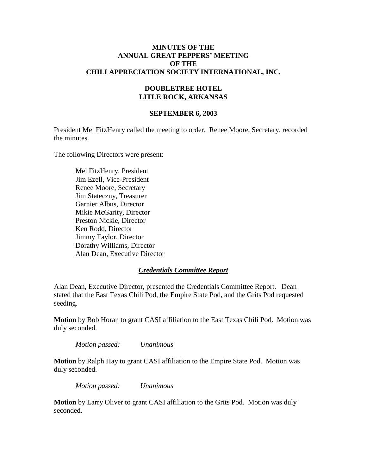#### **MINUTES OF THE ANNUAL GREAT PEPPERS' MEETING OF THE CHILI APPRECIATION SOCIETY INTERNATIONAL, INC.**

### **DOUBLETREE HOTEL LITLE ROCK, ARKANSAS**

#### **SEPTEMBER 6, 2003**

President Mel FitzHenry called the meeting to order. Renee Moore, Secretary, recorded the minutes.

The following Directors were present:

Mel FitzHenry, President Jim Ezell, Vice-President Renee Moore, Secretary Jim Stateczny, Treasurer Garnier Albus, Director Mikie McGarity, Director Preston Nickle, Director Ken Rodd, Director Jimmy Taylor, Director Dorathy Williams, Director Alan Dean, Executive Director

#### *Credentials Committee Report*

Alan Dean, Executive Director, presented the Credentials Committee Report. Dean stated that the East Texas Chili Pod, the Empire State Pod, and the Grits Pod requested seeding.

**Motion** by Bob Horan to grant CASI affiliation to the East Texas Chili Pod. Motion was duly seconded.

*Motion passed: Unanimous*

**Motion** by Ralph Hay to grant CASI affiliation to the Empire State Pod. Motion was duly seconded.

*Motion passed: Unanimous*

**Motion** by Larry Oliver to grant CASI affiliation to the Grits Pod. Motion was duly seconded.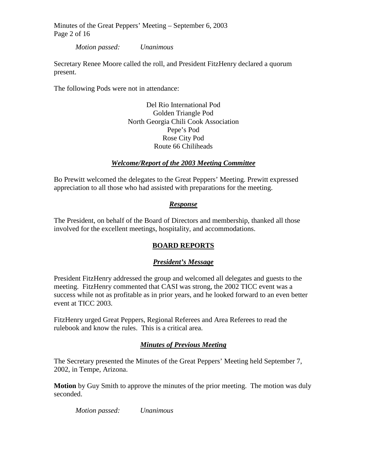Minutes of the Great Peppers' Meeting – September 6, 2003 Page 2 of 16

*Motion passed: Unanimous*

Secretary Renee Moore called the roll, and President FitzHenry declared a quorum present.

The following Pods were not in attendance:

Del Rio International Pod Golden Triangle Pod North Georgia Chili Cook Association Pepe's Pod Rose City Pod Route 66 Chiliheads

### *Welcome/Report of the 2003 Meeting Committee*

Bo Prewitt welcomed the delegates to the Great Peppers' Meeting. Prewitt expressed appreciation to all those who had assisted with preparations for the meeting.

## *Response*

The President, on behalf of the Board of Directors and membership, thanked all those involved for the excellent meetings, hospitality, and accommodations.

## **BOARD REPORTS**

#### *President's Message*

President FitzHenry addressed the group and welcomed all delegates and guests to the meeting. FitzHenry commented that CASI was strong, the 2002 TICC event was a success while not as profitable as in prior years, and he looked forward to an even better event at TICC 2003.

FitzHenry urged Great Peppers, Regional Referees and Area Referees to read the rulebook and know the rules. This is a critical area.

## *Minutes of Previous Meeting*

The Secretary presented the Minutes of the Great Peppers' Meeting held September 7, 2002, in Tempe, Arizona.

**Motion** by Guy Smith to approve the minutes of the prior meeting. The motion was duly seconded.

*Motion passed: Unanimous*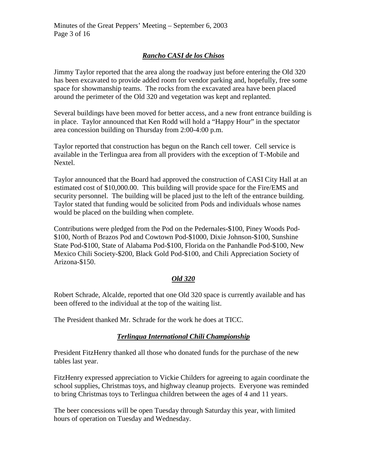# *Rancho CASI de los Chisos*

Jimmy Taylor reported that the area along the roadway just before entering the Old 320 has been excavated to provide added room for vendor parking and, hopefully, free some space for showmanship teams. The rocks from the excavated area have been placed around the perimeter of the Old 320 and vegetation was kept and replanted.

Several buildings have been moved for better access, and a new front entrance building is in place. Taylor announced that Ken Rodd will hold a "Happy Hour" in the spectator area concession building on Thursday from 2:00-4:00 p.m.

Taylor reported that construction has begun on the Ranch cell tower. Cell service is available in the Terlingua area from all providers with the exception of T-Mobile and Nextel.

Taylor announced that the Board had approved the construction of CASI City Hall at an estimated cost of \$10,000.00. This building will provide space for the Fire/EMS and security personnel. The building will be placed just to the left of the entrance building. Taylor stated that funding would be solicited from Pods and individuals whose names would be placed on the building when complete.

Contributions were pledged from the Pod on the Pedernales-\$100, Piney Woods Pod- \$100, North of Brazos Pod and Cowtown Pod-\$1000, Dixie Johnson-\$100, Sunshine State Pod-\$100, State of Alabama Pod-\$100, Florida on the Panhandle Pod-\$100, New Mexico Chili Society-\$200, Black Gold Pod-\$100, and Chili Appreciation Society of Arizona-\$150.

## *Old 320*

Robert Schrade, Alcalde, reported that one Old 320 space is currently available and has been offered to the individual at the top of the waiting list.

The President thanked Mr. Schrade for the work he does at TICC.

## *Terlingua International Chili Championship*

President FitzHenry thanked all those who donated funds for the purchase of the new tables last year.

FitzHenry expressed appreciation to Vickie Childers for agreeing to again coordinate the school supplies, Christmas toys, and highway cleanup projects. Everyone was reminded to bring Christmas toys to Terlingua children between the ages of 4 and 11 years.

The beer concessions will be open Tuesday through Saturday this year, with limited hours of operation on Tuesday and Wednesday.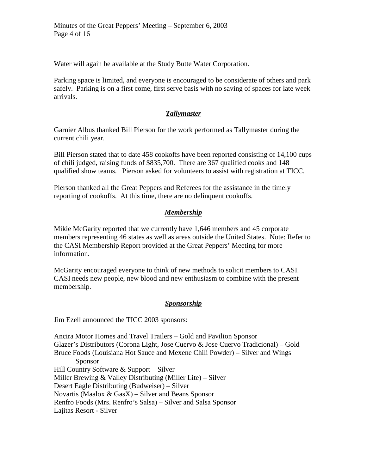Minutes of the Great Peppers' Meeting – September 6, 2003 Page 4 of 16

Water will again be available at the Study Butte Water Corporation.

Parking space is limited, and everyone is encouraged to be considerate of others and park safely. Parking is on a first come, first serve basis with no saving of spaces for late week arrivals.

## *Tallymaster*

Garnier Albus thanked Bill Pierson for the work performed as Tallymaster during the current chili year.

Bill Pierson stated that to date 458 cookoffs have been reported consisting of 14,100 cups of chili judged, raising funds of \$835,700. There are 367 qualified cooks and 148 qualified show teams. Pierson asked for volunteers to assist with registration at TICC.

Pierson thanked all the Great Peppers and Referees for the assistance in the timely reporting of cookoffs. At this time, there are no delinquent cookoffs.

# *Membership*

Mikie McGarity reported that we currently have 1,646 members and 45 corporate members representing 46 states as well as areas outside the United States. Note: Refer to the CASI Membership Report provided at the Great Peppers' Meeting for more information.

McGarity encouraged everyone to think of new methods to solicit members to CASI. CASI needs new people, new blood and new enthusiasm to combine with the present membership.

## *Sponsorship*

Jim Ezell announced the TICC 2003 sponsors:

Ancira Motor Homes and Travel Trailers – Gold and Pavilion Sponsor Glazer's Distributors (Corona Light, Jose Cuervo & Jose Cuervo Tradicional) – Gold Bruce Foods (Louisiana Hot Sauce and Mexene Chili Powder) – Silver and Wings Sponsor Hill Country Software & Support – Silver Miller Brewing & Valley Distributing (Miller Lite) – Silver Desert Eagle Distributing (Budweiser) – Silver Novartis (Maalox & GasX) – Silver and Beans Sponsor Renfro Foods (Mrs. Renfro's Salsa) – Silver and Salsa Sponsor Lajitas Resort - Silver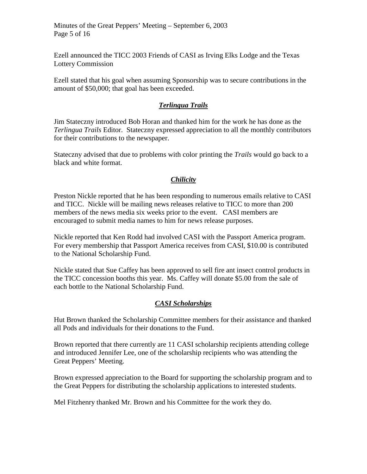Ezell announced the TICC 2003 Friends of CASI as Irving Elks Lodge and the Texas Lottery Commission

Ezell stated that his goal when assuming Sponsorship was to secure contributions in the amount of \$50,000; that goal has been exceeded.

## *Terlingua Trails*

Jim Stateczny introduced Bob Horan and thanked him for the work he has done as the *Terlingua Trails* Editor. Stateczny expressed appreciation to all the monthly contributors for their contributions to the newspaper.

Stateczny advised that due to problems with color printing the *Trails* would go back to a black and white format.

# *Chilicity*

Preston Nickle reported that he has been responding to numerous emails relative to CASI and TICC. Nickle will be mailing news releases relative to TICC to more than 200 members of the news media six weeks prior to the event. CASI members are encouraged to submit media names to him for news release purposes.

Nickle reported that Ken Rodd had involved CASI with the Passport America program. For every membership that Passport America receives from CASI, \$10.00 is contributed to the National Scholarship Fund.

Nickle stated that Sue Caffey has been approved to sell fire ant insect control products in the TICC concession booths this year. Ms. Caffey will donate \$5.00 from the sale of each bottle to the National Scholarship Fund.

# *CASI Scholarships*

Hut Brown thanked the Scholarship Committee members for their assistance and thanked all Pods and individuals for their donations to the Fund.

Brown reported that there currently are 11 CASI scholarship recipients attending college and introduced Jennifer Lee, one of the scholarship recipients who was attending the Great Peppers' Meeting.

Brown expressed appreciation to the Board for supporting the scholarship program and to the Great Peppers for distributing the scholarship applications to interested students.

Mel Fitzhenry thanked Mr. Brown and his Committee for the work they do.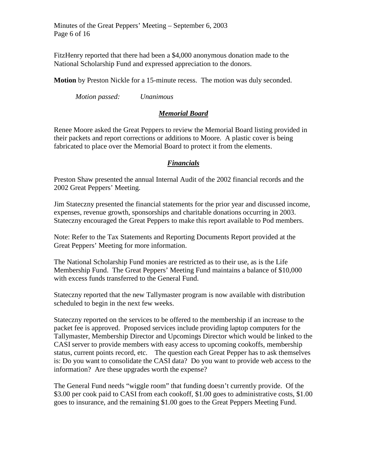Minutes of the Great Peppers' Meeting – September 6, 2003 Page 6 of 16

FitzHenry reported that there had been a \$4,000 anonymous donation made to the National Scholarship Fund and expressed appreciation to the donors.

**Motion** by Preston Nickle for a 15-minute recess. The motion was duly seconded.

*Motion passed: Unanimous*

### *Memorial Board*

Renee Moore asked the Great Peppers to review the Memorial Board listing provided in their packets and report corrections or additions to Moore. A plastic cover is being fabricated to place over the Memorial Board to protect it from the elements.

## *Financials*

Preston Shaw presented the annual Internal Audit of the 2002 financial records and the 2002 Great Peppers' Meeting.

Jim Stateczny presented the financial statements for the prior year and discussed income, expenses, revenue growth, sponsorships and charitable donations occurring in 2003. Stateczny encouraged the Great Peppers to make this report available to Pod members.

Note: Refer to the Tax Statements and Reporting Documents Report provided at the Great Peppers' Meeting for more information.

The National Scholarship Fund monies are restricted as to their use, as is the Life Membership Fund. The Great Peppers' Meeting Fund maintains a balance of \$10,000 with excess funds transferred to the General Fund.

Stateczny reported that the new Tallymaster program is now available with distribution scheduled to begin in the next few weeks.

Stateczny reported on the services to be offered to the membership if an increase to the packet fee is approved. Proposed services include providing laptop computers for the Tallymaster, Membership Director and Upcomings Director which would be linked to the CASI server to provide members with easy access to upcoming cookoffs, membership status, current points record, etc. The question each Great Pepper has to ask themselves is: Do you want to consolidate the CASI data? Do you want to provide web access to the information? Are these upgrades worth the expense?

The General Fund needs "wiggle room" that funding doesn't currently provide. Of the \$3.00 per cook paid to CASI from each cookoff, \$1.00 goes to administrative costs, \$1.00 goes to insurance, and the remaining \$1.00 goes to the Great Peppers Meeting Fund.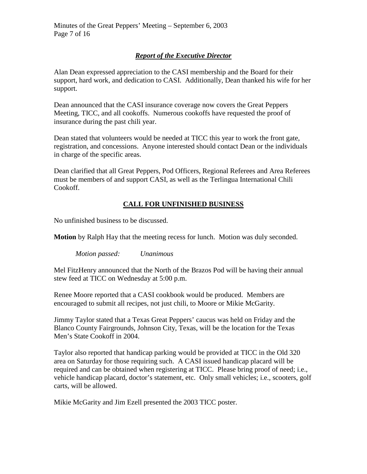# *Report of the Executive Director*

Alan Dean expressed appreciation to the CASI membership and the Board for their support, hard work, and dedication to CASI. Additionally, Dean thanked his wife for her support.

Dean announced that the CASI insurance coverage now covers the Great Peppers Meeting, TICC, and all cookoffs. Numerous cookoffs have requested the proof of insurance during the past chili year.

Dean stated that volunteers would be needed at TICC this year to work the front gate, registration, and concessions. Anyone interested should contact Dean or the individuals in charge of the specific areas.

Dean clarified that all Great Peppers, Pod Officers, Regional Referees and Area Referees must be members of and support CASI, as well as the Terlingua International Chili Cookoff.

# **CALL FOR UNFINISHED BUSINESS**

No unfinished business to be discussed.

**Motion** by Ralph Hay that the meeting recess for lunch. Motion was duly seconded.

*Motion passed: Unanimous*

Mel FitzHenry announced that the North of the Brazos Pod will be having their annual stew feed at TICC on Wednesday at 5:00 p.m.

Renee Moore reported that a CASI cookbook would be produced. Members are encouraged to submit all recipes, not just chili, to Moore or Mikie McGarity.

Jimmy Taylor stated that a Texas Great Peppers' caucus was held on Friday and the Blanco County Fairgrounds, Johnson City, Texas, will be the location for the Texas Men's State Cookoff in 2004.

Taylor also reported that handicap parking would be provided at TICC in the Old 320 area on Saturday for those requiring such. A CASI issued handicap placard will be required and can be obtained when registering at TICC. Please bring proof of need; i.e., vehicle handicap placard, doctor's statement, etc. Only small vehicles; i.e., scooters, golf carts, will be allowed.

Mikie McGarity and Jim Ezell presented the 2003 TICC poster.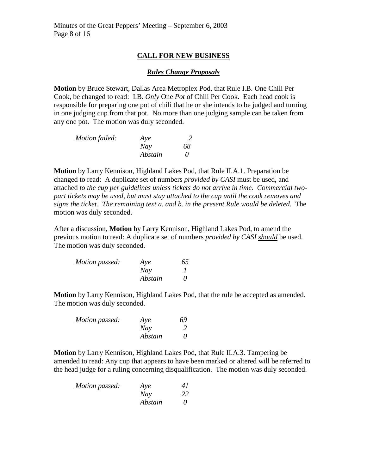### **CALL FOR NEW BUSINESS**

#### *Rules Change Proposals*

**Motion** by Bruce Stewart, Dallas Area Metroplex Pod, that Rule I.B. One Chili Per Cook, be changed to read: I.B. *Only* One *Pot* of Chili Per Cook. Each head cook is responsible for preparing one pot of chili that he or she intends to be judged and turning in one judging cup from that pot. No more than one judging sample can be taken from any one pot. The motion was duly seconded.

| Motion failed: | Aye     |          |
|----------------|---------|----------|
|                | Nay     | 68       |
|                | Abstain | $\theta$ |

**Motion** by Larry Kennison, Highland Lakes Pod, that Rule II.A.1. Preparation be changed to read: A duplicate set of numbers *provided by CASI* must be used, and attached *to the cup per guidelines unless tickets do not arrive in time. Commercial twopart tickets may be used, but must stay attached to the cup until the cook removes and signs the ticket. The remaining text a. and b. in the present Rule would be deleted.* The motion was duly seconded.

After a discussion, **Motion** by Larry Kennison, Highland Lakes Pod, to amend the previous motion to read: A duplicate set of numbers *provided by CASI should* be used. The motion was duly seconded.

| Motion passed: | Aye     | 65       |
|----------------|---------|----------|
|                | Nav     |          |
|                | Abstain | $\theta$ |

**Motion** by Larry Kennison, Highland Lakes Pod, that the rule be accepted as amended. The motion was duly seconded.

| Motion passed: | Aye     | 69       |
|----------------|---------|----------|
|                | Nay     |          |
|                | Abstain | $\theta$ |

**Motion** by Larry Kennison, Highland Lakes Pod, that Rule II.A.3. Tampering be amended to read: Any cup that appears to have been marked or altered will be referred to the head judge for a ruling concerning disqualification. The motion was duly seconded.

| Motion passed: | Aye     | 41       |
|----------------|---------|----------|
|                | Nay     | 22       |
|                | Abstain | $\theta$ |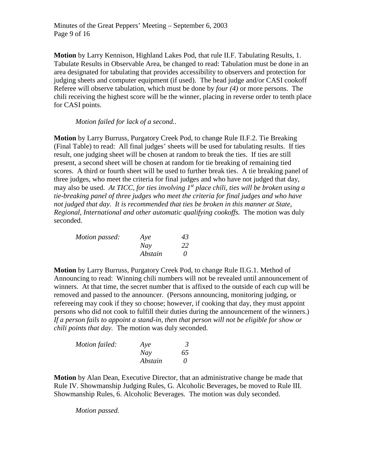Minutes of the Great Peppers' Meeting – September 6, 2003 Page 9 of 16

**Motion** by Larry Kennison, Highland Lakes Pod, that rule II.F. Tabulating Results, 1. Tabulate Results in Observable Area, be changed to read: Tabulation must be done in an area designated for tabulating that provides accessibility to observers and protection for judging sheets and computer equipment (if used). The head judge and/or CASI cookoff Referee will observe tabulation, which must be done by *four (4)* or more persons. The chili receiving the highest score will be the winner, placing in reverse order to tenth place for CASI points.

*Motion failed for lack of a second..*

**Motion** by Larry Burruss, Purgatory Creek Pod, to change Rule II.F.2. Tie Breaking (Final Table) to read: All final judges' sheets will be used for tabulating results. If ties result, one judging sheet will be chosen at random to break the ties. If ties are still present, a second sheet will be chosen at random for tie breaking of remaining tied scores. A third or fourth sheet will be used to further break ties. A tie breaking panel of three judges, who meet the criteria for final judges and who have not judged that day, may also be used. *At TICC, for ties involving 1st place chili, ties will be broken using a tie-breaking panel of three judges who meet the criteria for final judges and who have not judged that day. It is recommended that ties be broken in this manner at State, Regional, International and other automatic qualifying cookoffs.* The motion was duly seconded.

| Motion passed: | Aye     | 43 |
|----------------|---------|----|
|                | Nay     | 22 |
|                | Abstain | 0  |

**Motion** by Larry Burruss, Purgatory Creek Pod, to change Rule II.G.1. Method of Announcing to read: Winning chili numbers will not be revealed until announcement of winners. At that time, the secret number that is affixed to the outside of each cup will be removed and passed to the announcer. (Persons announcing, monitoring judging, or refereeing may cook if they so choose; however, if cooking that day, they must appoint persons who did not cook to fulfill their duties during the announcement of the winners.) *If a person fails to appoint a stand-in, then that person will not be eligible for show or chili points that day.* The motion was duly seconded.

| Motion failed: | Aye     | 3        |
|----------------|---------|----------|
|                | Nay     | 65       |
|                | Abstain | $\theta$ |

**Motion** by Alan Dean, Executive Director, that an administrative change be made that Rule IV. Showmanship Judging Rules, G. Alcoholic Beverages, be moved to Rule III. Showmanship Rules, 6. Alcoholic Beverages. The motion was duly seconded.

*Motion passed.*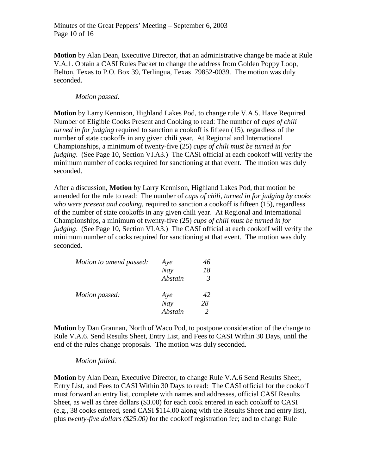**Motion** by Alan Dean, Executive Director, that an administrative change be made at Rule V.A.1. Obtain a CASI Rules Packet to change the address from Golden Poppy Loop, Belton, Texas to P.O. Box 39, Terlingua, Texas 79852-0039. The motion was duly seconded.

### *Motion passed.*

**Motion** by Larry Kennison, Highland Lakes Pod, to change rule V.A.5. Have Required Number of Eligible Cooks Present and Cooking to read: The number of *cups of chili turned in for judging* required to sanction a cookoff is fifteen (15), regardless of the number of state cookoffs in any given chili year. At Regional and International Championships, a minimum of twenty-five (25) *cups of chili must be turned in for judging*. (See Page 10, Section VI.A3.) The CASI official at each cookoff will verify the minimum number of cooks required for sanctioning at that event. The motion was duly seconded.

After a discussion, **Motion** by Larry Kennison, Highland Lakes Pod, that motion be amended for the rule to read: The number of *cups of chili, turned in for judging by cooks who were present and cooking,* required to sanction a cookoff is fifteen (15), regardless of the number of state cookoffs in any given chili year. At Regional and International Championships, a minimum of twenty-five (25) *cups of chili must be turned in for judging*. (See Page 10, Section VI.A3.) The CASI official at each cookoff will verify the minimum number of cooks required for sanctioning at that event. The motion was duly seconded.

| Motion to amend passed: | Aye     |    |
|-------------------------|---------|----|
|                         | Nay     | 18 |
|                         | Abstain | 3  |
| Motion passed:          | Aye     | 42 |
|                         | Nay     | 28 |
|                         | Abstain |    |

**Motion** by Dan Grannan, North of Waco Pod, to postpone consideration of the change to Rule V.A.6. Send Results Sheet, Entry List, and Fees to CASI Within 30 Days, until the end of the rules change proposals. The motion was duly seconded.

#### *Motion failed.*

**Motion** by Alan Dean, Executive Director, to change Rule V.A.6 Send Results Sheet, Entry List, and Fees to CASI Within 30 Days to read: The CASI official for the cookoff must forward an entry list, complete with names and addresses, official CASI Results Sheet, as well as three dollars (\$3.00) for each cook entered in each cookoff to CASI (e.g., 38 cooks entered, send CASI \$114.00 along with the Results Sheet and entry list), plus *twenty-five dollars (\$25.00)* for the cookoff registration fee; and to change Rule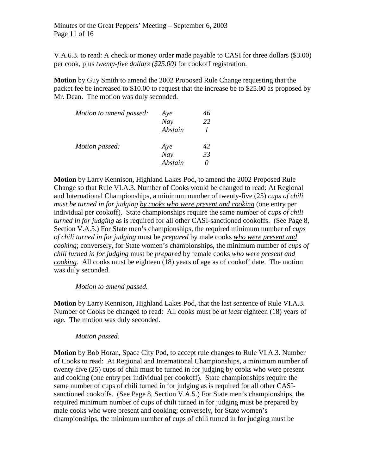Minutes of the Great Peppers' Meeting – September 6, 2003 Page 11 of 16

V.A.6.3. to read: A check or money order made payable to CASI for three dollars (\$3.00) per cook, plus *twenty-five dollars (\$25.00)* for cookoff registration.

**Motion** by Guy Smith to amend the 2002 Proposed Rule Change requesting that the packet fee be increased to \$10.00 to request that the increase be to \$25.00 as proposed by Mr. Dean. The motion was duly seconded.

| Motion to amend passed: | Aye     |    |
|-------------------------|---------|----|
|                         | Nay     | 22 |
|                         | Abstain |    |
| Motion passed:          | Aye     | 42 |
|                         | Nay     | 33 |
|                         | Abstain |    |

**Motion** by Larry Kennison, Highland Lakes Pod, to amend the 2002 Proposed Rule Change so that Rule VI.A.3. Number of Cooks would be changed to read: At Regional and International Championships, a minimum number of twenty-five (25) *cups of chili must be turned in for judging by cooks who were present and cooking* (one entry per individual per cookoff). State championships require the same number of *cups of chili turned in for judging* as is required for all other CASI-sanctioned cookoffs. (See Page 8, Section V.A.5.) For State men's championships, the required minimum number of *cups of chili turned in for judging* must be *prepared* by male cooks *who were present and cooking*; conversely, for State women's championships, the minimum number of *cups of chili turned in for judging* must be *prepared* by female cooks *who were present and cooking*. All cooks must be eighteen (18) years of age as of cookoff date. The motion was duly seconded.

### *Motion to amend passed.*

**Motion** by Larry Kennison, Highland Lakes Pod, that the last sentence of Rule VI.A.3. Number of Cooks be changed to read: All cooks must be *at least* eighteen (18) years of age. The motion was duly seconded.

#### *Motion passed.*

**Motion** by Bob Horan, Space City Pod, to accept rule changes to Rule VI.A.3. Number of Cooks to read: At Regional and International Championships, a minimum number of twenty-five (25) cups of chili must be turned in for judging by cooks who were present and cooking (one entry per individual per cookoff). State championships require the same number of cups of chili turned in for judging as is required for all other CASIsanctioned cookoffs. (See Page 8, Section V.A.5.) For State men's championships, the required minimum number of cups of chili turned in for judging must be prepared by male cooks who were present and cooking; conversely, for State women's championships, the minimum number of cups of chili turned in for judging must be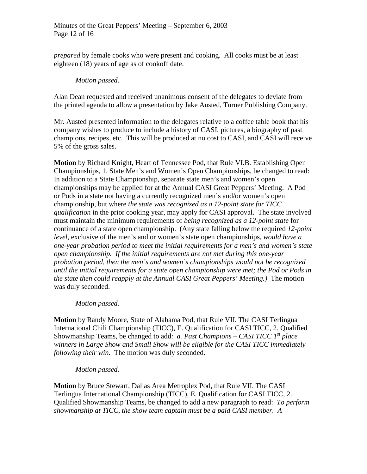*prepared* by female cooks who were present and cooking. All cooks must be at least eighteen (18) years of age as of cookoff date.

### *Motion passed.*

Alan Dean requested and received unanimous consent of the delegates to deviate from the printed agenda to allow a presentation by Jake Austed, Turner Publishing Company.

Mr. Austed presented information to the delegates relative to a coffee table book that his company wishes to produce to include a history of CASI, pictures, a biography of past champions, recipes, etc. This will be produced at no cost to CASI, and CASI will receive 5% of the gross sales.

**Motion** by Richard Knight, Heart of Tennessee Pod, that Rule VI.B. Establishing Open Championships, 1. State Men's and Women's Open Championships, be changed to read: In addition to a State Championship, separate state men's and women's open championships may be applied for at the Annual CASI Great Peppers' Meeting. A Pod or Pods in a state not having a currently recognized men's and/or women's open championship, but where *the state was recognized as a 12-point state for TICC qualification* in the prior cooking year, may apply for CASI approval. The state involved must maintain the minimum requirements of *being recognized as a 12-point state* for continuance of a state open championship. (Any state falling below the required *12-point level,* exclusive of the men's and or women's state open championships, *would have a one-year probation period to meet the initial requirements for a men's and women's state open championship. If the initial requirements are not met during this one-year probation period, then the men's and women's championships would not be recognized until the initial requirements for a state open championship were met; the Pod or Pods in the state then could reapply at the Annual CASI Great Peppers' Meeting.)* The motion was duly seconded.

## *Motion passed.*

**Motion** by Randy Moore, State of Alabama Pod, that Rule VII. The CASI Terlingua International Chili Championship (TICC), E. Qualification for CASI TICC, 2. Qualified Showmanship Teams, be changed to add: *a. Past Champions – CASI TICC 1st place winners in Large Show and Small Show will be eligible for the CASI TICC immediately following their win.* The motion was duly seconded.

## *Motion passed.*

**Motion** by Bruce Stewart, Dallas Area Metroplex Pod, that Rule VII. The CASI Terlingua International Championship (TICC), E. Qualification for CASI TICC, 2. Qualified Showmanship Teams, be changed to add a new paragraph to read: *To perform showmanship at TICC, the show team captain must be a paid CASI member. A*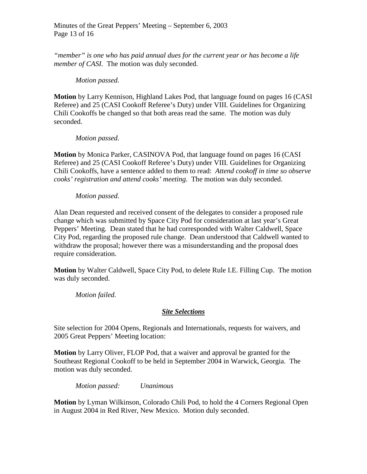*"member" is one who has paid annual dues for the current year or has become a life member of CASI.* The motion was duly seconded.

## *Motion passed.*

**Motion** by Larry Kennison, Highland Lakes Pod, that language found on pages 16 (CASI Referee) and 25 (CASI Cookoff Referee's Duty) under VIII. Guidelines for Organizing Chili Cookoffs be changed so that both areas read the same. The motion was duly seconded.

## *Motion passed.*

**Motion** by Monica Parker, CASINOVA Pod, that language found on pages 16 (CASI Referee) and 25 (CASI Cookoff Referee's Duty) under VIII. Guidelines for Organizing Chili Cookoffs, have a sentence added to them to read: *Attend cookoff in time so observe cooks' registration and attend cooks' meeting.* The motion was duly seconded.

## *Motion passed.*

Alan Dean requested and received consent of the delegates to consider a proposed rule change which was submitted by Space City Pod for consideration at last year's Great Peppers' Meeting. Dean stated that he had corresponded with Walter Caldwell, Space City Pod, regarding the proposed rule change. Dean understood that Caldwell wanted to withdraw the proposal; however there was a misunderstanding and the proposal does require consideration.

**Motion** by Walter Caldwell, Space City Pod, to delete Rule I.E. Filling Cup. The motion was duly seconded.

*Motion failed.*

# *Site Selections*

Site selection for 2004 Opens, Regionals and Internationals, requests for waivers, and 2005 Great Peppers' Meeting location:

**Motion** by Larry Oliver, FLOP Pod, that a waiver and approval be granted for the Southeast Regional Cookoff to be held in September 2004 in Warwick, Georgia. The motion was duly seconded.

*Motion passed: Unanimous*

**Motion** by Lyman Wilkinson, Colorado Chili Pod, to hold the 4 Corners Regional Open in August 2004 in Red River, New Mexico. Motion duly seconded.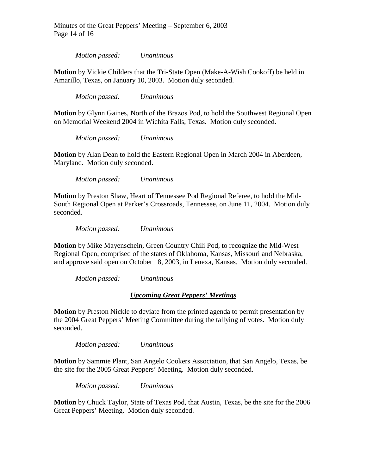Minutes of the Great Peppers' Meeting – September 6, 2003 Page 14 of 16

*Motion passed: Unanimous*

**Motion** by Vickie Childers that the Tri-State Open (Make-A-Wish Cookoff) be held in Amarillo, Texas, on January 10, 2003. Motion duly seconded.

*Motion passed: Unanimous*

**Motion** by Glynn Gaines, North of the Brazos Pod, to hold the Southwest Regional Open on Memorial Weekend 2004 in Wichita Falls, Texas. Motion duly seconded.

*Motion passed: Unanimous*

**Motion** by Alan Dean to hold the Eastern Regional Open in March 2004 in Aberdeen, Maryland. Motion duly seconded.

*Motion passed: Unanimous*

**Motion** by Preston Shaw, Heart of Tennessee Pod Regional Referee, to hold the Mid-South Regional Open at Parker's Crossroads, Tennessee, on June 11, 2004. Motion duly seconded.

*Motion passed: Unanimous*

**Motion** by Mike Mayenschein, Green Country Chili Pod, to recognize the Mid-West Regional Open, comprised of the states of Oklahoma, Kansas, Missouri and Nebraska, and approve said open on October 18, 2003, in Lenexa, Kansas. Motion duly seconded.

*Motion passed: Unanimous*

#### *Upcoming Great Peppers' Meetings*

**Motion** by Preston Nickle to deviate from the printed agenda to permit presentation by the 2004 Great Peppers' Meeting Committee during the tallying of votes. Motion duly seconded.

*Motion passed: Unanimous*

**Motion** by Sammie Plant, San Angelo Cookers Association, that San Angelo, Texas, be the site for the 2005 Great Peppers' Meeting. Motion duly seconded.

*Motion passed: Unanimous*

**Motion** by Chuck Taylor, State of Texas Pod, that Austin, Texas, be the site for the 2006 Great Peppers' Meeting. Motion duly seconded.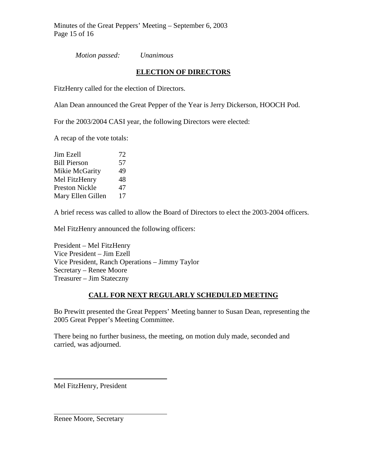Minutes of the Great Peppers' Meeting – September 6, 2003 Page 15 of 16

*Motion passed: Unanimous*

## **ELECTION OF DIRECTORS**

FitzHenry called for the election of Directors.

Alan Dean announced the Great Pepper of the Year is Jerry Dickerson, HOOCH Pod.

For the 2003/2004 CASI year, the following Directors were elected:

A recap of the vote totals:

| Jim Ezell             | 72 |
|-----------------------|----|
| <b>Bill Pierson</b>   | 57 |
| Mikie McGarity        | 49 |
| Mel FitzHenry         | 48 |
| <b>Preston Nickle</b> | 47 |
| Mary Ellen Gillen     | 17 |

A brief recess was called to allow the Board of Directors to elect the 2003-2004 officers.

Mel FitzHenry announced the following officers:

President – Mel FitzHenry Vice President – Jim Ezell Vice President, Ranch Operations – Jimmy Taylor Secretary – Renee Moore Treasurer – Jim Stateczny

## **CALL FOR NEXT REGULARLY SCHEDULED MEETING**

Bo Prewitt presented the Great Peppers' Meeting banner to Susan Dean, representing the 2005 Great Pepper's Meeting Committee.

There being no further business, the meeting, on motion duly made, seconded and carried, was adjourned.

Mel FitzHenry, President

Renee Moore, Secretary